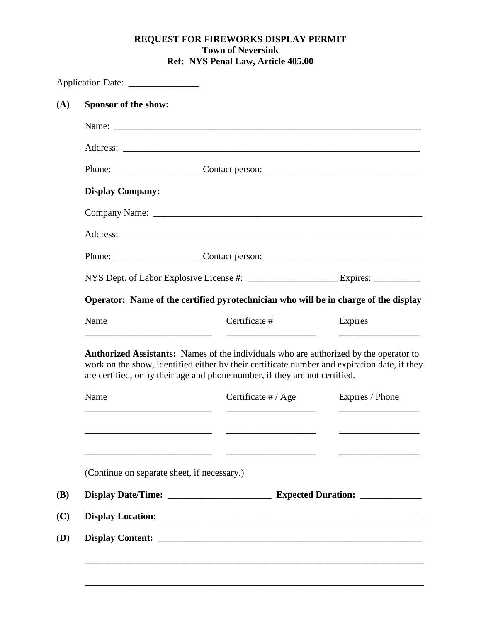## **REQUEST FOR FIREWORKS DISPLAY PERMIT Town of Neversink Ref: NYS Penal Law, Article 405.00**

| Sponsor of the show:    |                                                                                                                                                                                                                                                                             |                       |                 |
|-------------------------|-----------------------------------------------------------------------------------------------------------------------------------------------------------------------------------------------------------------------------------------------------------------------------|-----------------------|-----------------|
|                         |                                                                                                                                                                                                                                                                             |                       |                 |
|                         |                                                                                                                                                                                                                                                                             |                       |                 |
|                         |                                                                                                                                                                                                                                                                             |                       |                 |
| <b>Display Company:</b> |                                                                                                                                                                                                                                                                             |                       |                 |
|                         |                                                                                                                                                                                                                                                                             |                       |                 |
|                         |                                                                                                                                                                                                                                                                             |                       |                 |
|                         |                                                                                                                                                                                                                                                                             |                       |                 |
|                         |                                                                                                                                                                                                                                                                             |                       |                 |
|                         | Operator: Name of the certified pyrotechnician who will be in charge of the display                                                                                                                                                                                         |                       |                 |
|                         |                                                                                                                                                                                                                                                                             |                       |                 |
| Name                    | Certificate #                                                                                                                                                                                                                                                               |                       | Expires         |
|                         | <b>Authorized Assistants:</b> Names of the individuals who are authorized by the operator to<br>work on the show, identified either by their certificate number and expiration date, if they<br>are certified, or by their age and phone number, if they are not certified. |                       |                 |
| Name                    |                                                                                                                                                                                                                                                                             | Certificate $\#/$ Age | Expires / Phone |
|                         |                                                                                                                                                                                                                                                                             |                       |                 |
|                         | (Continue on separate sheet, if necessary.)                                                                                                                                                                                                                                 |                       |                 |
|                         |                                                                                                                                                                                                                                                                             |                       |                 |
|                         |                                                                                                                                                                                                                                                                             |                       |                 |

\_\_\_\_\_\_\_\_\_\_\_\_\_\_\_\_\_\_\_\_\_\_\_\_\_\_\_\_\_\_\_\_\_\_\_\_\_\_\_\_\_\_\_\_\_\_\_\_\_\_\_\_\_\_\_\_\_\_\_\_\_\_\_\_\_\_\_\_\_\_\_\_